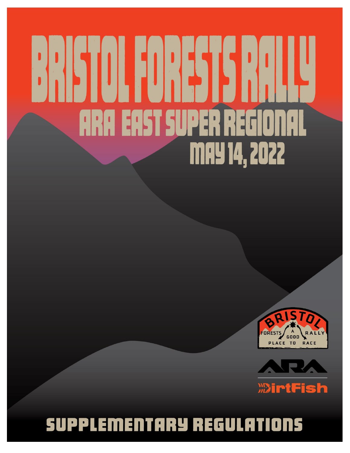# **ARA EAST SUPER REGI MAY 14, 2022**





# **SUPPLEMENTARY REGULATIONS**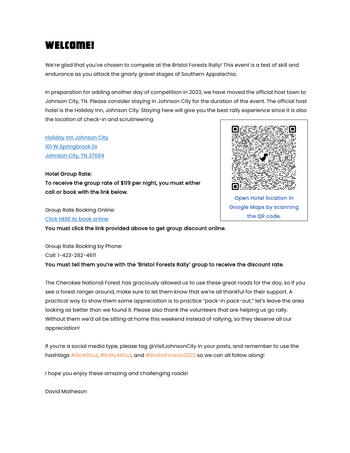# Welcome!

We're glad that you've chosen to compete at the Bristol Forests Rally! This event is a test of skill and endurance as you attack the gnarly gravel stages of Southern Appalachia.

In preparation for adding another day of competition in 2023, we have moved the official host town to Johnson City, TN. Please consider staying in Johnson City for the duration of the event. The official host hotel is the Holiday Inn, Johnson City. Staying here will give you the best rally experience since it is also the location of check-in and scrutineering.

[Holiday Inn Johnson City](https://www.google.com/maps/place/Holiday+Inn+Johnson+City,+an+IHG+Hotel/@36.3500932,-82.3831951,17.42z/data=!4m10!3m9!1s0x885a7d4f29843527:0xa1692c22f36d6b67!5m4!1s2022-05-12!2i3!4m1!1i2!8m2!3d36.3496769!4d-82.3820048)  [101 W Springbrook Dr](https://www.google.com/maps/place/Holiday+Inn+Johnson+City,+an+IHG+Hotel/@36.3500932,-82.3831951,17.42z/data=!4m10!3m9!1s0x885a7d4f29843527:0xa1692c22f36d6b67!5m4!1s2022-05-12!2i3!4m1!1i2!8m2!3d36.3496769!4d-82.3820048)  [Johnson City, TN 37604](https://www.google.com/maps/place/Holiday+Inn+Johnson+City,+an+IHG+Hotel/@36.3500932,-82.3831951,17.42z/data=!4m10!3m9!1s0x885a7d4f29843527:0xa1692c22f36d6b67!5m4!1s2022-05-12!2i3!4m1!1i2!8m2!3d36.3496769!4d-82.3820048)

Hotel Group Rate: To receive the group rate of \$119 per night, you must either call or book with the link below.

Group Rate Booking Online: [Click HERE to book online](https://www.ihg.com/holidayinn/hotels/us/en/find-hotels/hotel/rooms?qDest=101%20W.%20Springbrook%20Drive,%20Johnson%20City,%20TN,%20US&qCiMy=42022&qCiD=12&qCoMy=42022&qCoD=15&qAdlt=1&qChld=0&qRms=1&qRtP=6CBARC&qIta=99801505&qGrpCd=BFR&qSlH=JNCWS&qAkamaiCC=US&qSrt=sBR&qBrs=re.ic.in.vn.cp.vx.hi.ex.rs.cv.sb.cw.ma.ul.ki.va.ii.sp.nd.ct.sx.we.lx&qWch=0&qSmP=1&setPMCookies=true&qRad=30&qRdU=mi&srb_u=1&qSHBrC=HI&icdv=99801505) 

You must click the link provided above to get group discount online.



Google Maps by scanning the QR code.

Group Rate Booking by Phone: Call: 1-423-282-4611 You must tell them you're with the 'Bristol Forests Rally' group to receive the discount rate.

The Cherokee National Forest has graciously allowed us to use these great roads for the day, so if you see a forest ranger around, make sure to let them know that we're all thankful for their support. A practical way to show them some appreciation is to practice "pack-in pack-out;" let's leave the area looking as better than we found it. Please also thank the volunteers that are helping us go rally. Without them we'd all be sitting at home this weekend instead of rallying, so they deserve all our appreciation!

If you're a social media type, please tag @VisitJohnsonCity in your posts, and remember to use the hashtags #GoAllOut, #RallyAllOut, and #BristolForests2022 so we can all follow along!

I hope you enjoy these amazing and challenging roads!

David Matheson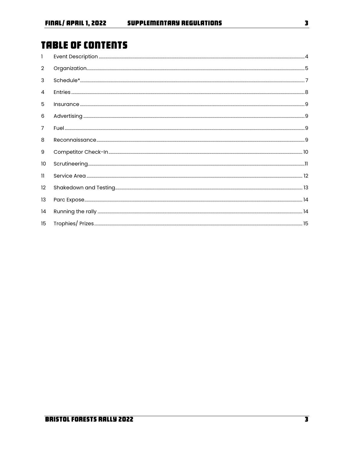# **TABLE OF CONTENTS**

| L                |  |
|------------------|--|
| $\overline{2}$   |  |
| 3                |  |
| 4                |  |
| 5                |  |
| 6                |  |
| $\overline{7}$   |  |
| 8                |  |
| 9                |  |
| 10               |  |
| 11               |  |
| 12               |  |
| 13               |  |
| 14               |  |
| 15 <sup>15</sup> |  |

 $\overline{\mathbf{3}}$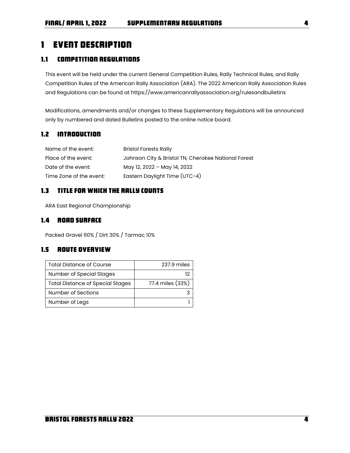# <span id="page-3-0"></span>1 Event Description

# 1.1 Competition Regulations

This event will be held under the current General Competition Rules, Rally Technical Rules, and Rally Competition Rules of the American Rally Association (ARA). The 2022 American Rally Association Rules and Regulations can be found at https://www.americanrallyassociation.org/rulesandbulletins

Modifications, amendments and/or changes to these Supplementary Regulations will be announced only by numbered and dated Bulletins posted to the online notice board.

# 1.2 Introduction

| Name of the event:      | <b>Bristol Forests Rally</b>                        |
|-------------------------|-----------------------------------------------------|
| Place of the event:     | Johnson City & Bristol TN, Cherokee National Forest |
| Date of the event:      | May 12, 2022 - May 14, 2022                         |
| Time Zone of the event: | Eastern Daylight Time (UTC-4)                       |

# 1.3 Title for Which the Rally Counts

ARA East Regional Championship

# 1.4 ROAD SURFACE

Packed Gravel 60% / Dirt 30% / Tarmac 10%

# 1.5 Route Overview

| <b>Total Distance of Course</b>         | 237.9 miles      |
|-----------------------------------------|------------------|
| Number of Special Stages                | 12               |
| <b>Total Distance of Special Stages</b> | 77.4 miles (33%) |
| Number of Sections                      |                  |
| Number of Legs                          |                  |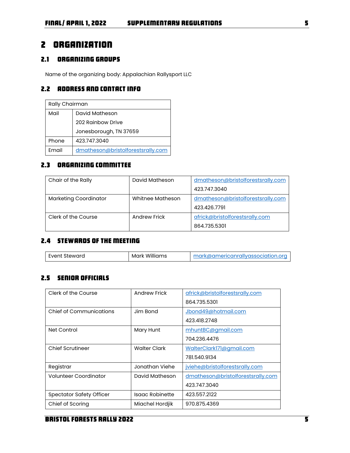# <span id="page-4-0"></span>2 Organization

# 2.1 Organizing Groups

Name of the organizing body: Appalachian Rallysport LLC

# <span id="page-4-2"></span>2.2 Address and Contact Info

| Rally Chairman                             |                        |  |  |
|--------------------------------------------|------------------------|--|--|
| Mail                                       | David Matheson         |  |  |
|                                            | 202 Rainbow Drive      |  |  |
|                                            | Jonesborough, TN 37659 |  |  |
| Phone                                      | 423.747.3040           |  |  |
| Email<br>dmatheson@bristolforestsrally.com |                        |  |  |

# <span id="page-4-1"></span>2.3 Organizing Committee

| Chair of the Rally           | David Matheson   | dmatheson@bristolforestsrally.com |  |
|------------------------------|------------------|-----------------------------------|--|
|                              |                  | 423.747.3040                      |  |
| <b>Marketing Coordinator</b> | Whitnee Matheson | dmatheson@bristolforestsrally.com |  |
|                              |                  | 423 426 7791                      |  |
| Clerk of the Course          | Andrew Frick     | africk@bristolforestsrally.com    |  |
|                              |                  | 864.735.5301                      |  |

# 2.4 Stewards of the Meeting

| Event Steward | Mark Williams | mark@americanrallyassociation.org |
|---------------|---------------|-----------------------------------|
|---------------|---------------|-----------------------------------|

# 2.5 Senior Officials

| Clerk of the Course             | <b>Andrew Frick</b> | africk@bristolforestsrally.com    |  |  |
|---------------------------------|---------------------|-----------------------------------|--|--|
|                                 |                     | 864 735 5301                      |  |  |
| Chief of Communications         | Jim Bond            | Jbond49@hotmail.com               |  |  |
|                                 |                     | 423.418.2748                      |  |  |
| Net Control                     | Mary Hunt           | mhuntBC@gmail.com                 |  |  |
|                                 |                     | 704.236.4476                      |  |  |
| <b>Chief Scrutineer</b>         | <b>Walter Clark</b> | WalterClark171@gmail.com          |  |  |
|                                 |                     | 781.540.9134                      |  |  |
| Registrar                       | Jonathan Viehe      | jviehe@bristolforestsrally.com    |  |  |
| Volunteer Coordinator           | David Matheson      | dmatheson@bristolforestsrally.com |  |  |
|                                 |                     | 423.747.3040                      |  |  |
| <b>Spectator Safety Officer</b> | Isaac Robinette     | 423.557.2122                      |  |  |
| Chief of Scoring                | Miachel Hordjik     | 970.875.4369                      |  |  |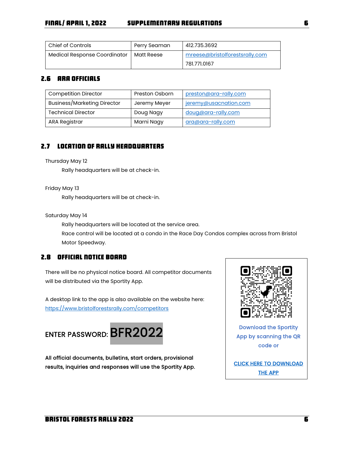| l Chief of Controls          | Perry Seaman | 412.735.3692                   |
|------------------------------|--------------|--------------------------------|
| Medical Response Coordinator | Matt Reese   | mreese@bristolforestsrally.com |
|                              |              | 781.771.0167                   |

# 2.6 ARA Officials

| <b>Competition Director</b> | <b>Preston Osborn</b> | preston@ara-rally.com |
|-----------------------------|-----------------------|-----------------------|
| Business/Marketing Director | Jeremy Meyer          | jeremy@usacnation.com |
| <b>Technical Director</b>   | Doug Nagy             | doug@ara-rally.com    |
| <b>ARA Registrar</b>        | Marni Nagy            | ara@ara-rally.com     |

# 2.7 Location of Rally Headquarters

### Thursday May 12

Rally headquarters will be at check-in.

### Friday May 13

Rally headquarters will be at check-in.

Saturday May 14

Rally headquarters will be located at the service area. Race control will be located at a condo in the Race Day Condos complex across from Bristol Motor Speedway.

# 2.8 Official Notice Board

There will be no physical notice board. All competitor documents will be distributed via the Sportity App.

A desktop link to the app is also available on the website here: <https://www.bristolforestsrally.com/competitors>



All official documents, bulletins, start orders, provisional results, inquiries and responses will use the Sportity App.



App by scanning the QR code or

[CLICK HERE TO DOWNLOAD](https://sportity.com/app)  [THE APP](https://sportity.com/app)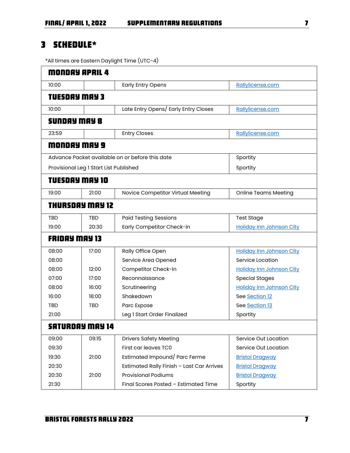# <span id="page-6-0"></span>3 Schedule\*

\*All times are Eastern Daylight Time (UTC-4)

|                      | MONDAY APRIL 4                         |                                                 |                                 |
|----------------------|----------------------------------------|-------------------------------------------------|---------------------------------|
| 10:00                |                                        | <b>Early Entry Opens</b>                        | Rallylicense.com                |
| <b>TUESDAY MAY 3</b> |                                        |                                                 |                                 |
| 10:00                |                                        | Late Entry Opens/ Early Entry Closes            | Rallylicense.com                |
| <b>SUNDAY MAY 8</b>  |                                        |                                                 |                                 |
| 23:59                |                                        | <b>Entry Closes</b>                             | Rallylicense.com                |
|                      | MONDAY MAY 9                           |                                                 |                                 |
|                      |                                        | Advance Packet available on or before this date | Sportity                        |
|                      | Provisional Leg 1 Start List Published |                                                 | Sportity                        |
|                      | TVESDAY MAY 10                         |                                                 |                                 |
| 19:00                | 21:00                                  | Novice Competitor Virtual Meeting               | <b>Online Teams Meeting</b>     |
|                      | THURSDAY MAY 12                        |                                                 |                                 |
| <b>TBD</b>           | <b>TBD</b>                             | <b>Paid Testing Sessions</b>                    | <b>Test Stage</b>               |
| 19:00                | 20:30                                  | Early Competitor Check-in                       | <b>Holiday Inn Johnson City</b> |
| <b>FRIDAY MAY 13</b> |                                        |                                                 |                                 |
| 08:00                | 17:00                                  | Rally Office Open                               | <b>Holiday Inn Johnson City</b> |
| 08:00                |                                        | Service Area Opened                             | Service Location                |
| 08:00                | 12:00<br>Competitor Check-In           |                                                 | <b>Holiday Inn Johnson City</b> |
| 07:00                | 17:00<br>Reconnaissance                |                                                 | <b>Special Stages</b>           |
| 08:00                | 16:00                                  | Scrutineering                                   | <b>Holiday Inn Johnson City</b> |
| 16:00                | 18:00                                  | Shakedown                                       | See Section 12                  |
| TBD                  | TBD                                    | Parc Expose                                     | See Section 13                  |
| 21:00                |                                        | Leg 1 Start Order Finalized                     | Sportity                        |
|                      | <b>SATURDAY MAY 14</b>                 |                                                 |                                 |
| 09:00                | 09:15                                  | <b>Drivers Safety Meeting</b>                   | Service Out Location            |
| 09:30                |                                        | First car leaves TC0                            | Service Out Location            |
| 19:30                | 21:00                                  | Estimated Impound/ Parc Ferme                   | <b>Bristol Dragway</b>          |
| 20:30                |                                        | Estimated Rally Finish - Last Car Arrives       | <b>Bristol Dragway</b>          |
| 20:30                | <b>Provisional Podiums</b><br>21:00    |                                                 | <b>Bristol Dragway</b>          |
| 21:30                |                                        | Final Scores Posted - Estimated Time            | Sportity                        |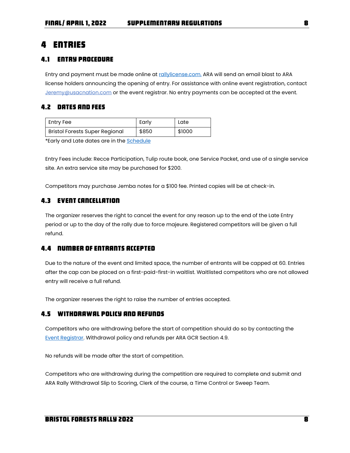# <span id="page-7-0"></span>4 Entries

# 4.1 Entry Procedure

Entry and payment must be made online at [rallylicense.com.](https://usacracing.redpodium.com/2022-ara-license-site) ARA will send an email blast to ARA license holders announcing the opening of entry. For assistance with online event registration, contact [Jeremy@usacnation.com](mailto:Jeremy@usacnation.com) or the event registrar. No entry payments can be accepted at the event.

# 4.2 Dates and Fees

| Entry Fee                             | Early | Late   |
|---------------------------------------|-------|--------|
| <b>Bristol Forests Super Regional</b> | \$850 | \$1000 |

\*Early and Late dates are in the [Schedule](#page-6-0)

Entry Fees include: Recce Participation, Tulip route book, one Service Packet, and use of a single service site. An extra service site may be purchased for \$200.

Competitors may purchase Jemba notes for a \$100 fee. Printed copies will be at check-in.

# 4.3 Event Cancellation

The organizer reserves the right to cancel the event for any reason up to the end of the Late Entry period or up to the day of the rally due to force majeure. Registered competitors will be given a full refund.

### 4.4 Number of Entrants Accepted

Due to the nature of the event and limited space, the number of entrants will be capped at 60. Entries after the cap can be placed on a first-paid-first-in waitlist. Waitlisted competitors who are not allowed entry will receive a full refund.

The organizer reserves the right to raise the number of entries accepted.

### 4.5 Withdrawal policy and Refunds

Competitors who are withdrawing before the start of competition should do so by contacting the [Event Registrar.](#page-4-1) Withdrawal policy and refunds per ARA GCR Section 4.9.

No refunds will be made after the start of competition.

Competitors who are withdrawing during the competition are required to complete and submit and ARA Rally Withdrawal Slip to Scoring, Clerk of the course, a Time Control or Sweep Team.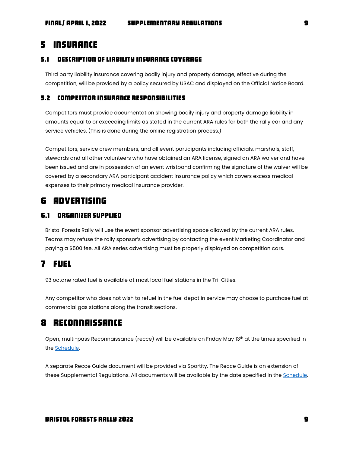# <span id="page-8-0"></span>5 Insurance

### 5.1 Description of Liability Insurance Coverage

Third party liability insurance covering bodily injury and property damage, effective during the competition, will be provided by a policy secured by USAC and displayed on the Official Notice Board.

# 5.2 Competitor insurance responsibilities

Competitors must provide documentation showing bodily injury and property damage liability in amounts equal to or exceeding limits as stated in the current ARA rules for both the rally car and any service vehicles. (This is done during the online registration process.)

Competitors, service crew members, and all event participants including officials, marshals, staff, stewards and all other volunteers who have obtained an ARA license, signed an ARA waiver and have been issued and are in possession of an event wristband confirming the signature of the waiver will be covered by a secondary ARA participant accident insurance policy which covers excess medical expenses to their primary medical insurance provider.

# <span id="page-8-1"></span>6 Advertising

# 6.1 Organizer Supplied

Bristol Forests Rally will use the event sponsor advertising space allowed by the current ARA rules. Teams may refuse the rally sponsor's advertising by contacting the event Marketing Coordinator and paying a \$500 fee. All ARA series advertising must be properly displayed on competition cars.

# <span id="page-8-2"></span>7 Fuel

93 octane rated fuel is available at most local fuel stations in the Tri-Cities.

Any competitor who does not wish to refuel in the fuel depot in service may choose to purchase fuel at commercial gas stations along the transit sections.

# <span id="page-8-3"></span>8 Reconnaissance

Open, multi-pass Reconnaissance (recce) will be available on Friday May 13<sup>th</sup> at the times specified in the [Schedule.](#page-6-0) 

A separate Recce Guide document will be provided via Sportity. The Recce Guide is an extension of these Supplemental Regulations. All documents will be available by the date specified in th[e Schedule.](#page-6-0)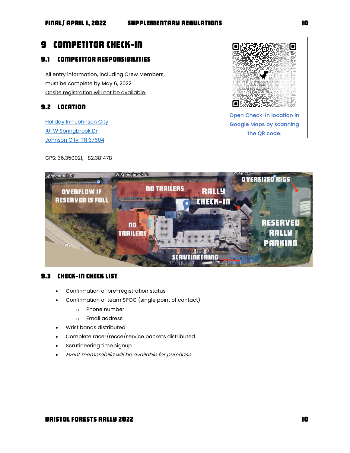# <span id="page-9-0"></span>9 Competitor Check-In

# 9.1 Competitor Responsibilities

All entry information, including Crew Members, must be complete by May 6, 2022. Onsite registration will not be available.

# 9.2 Location

[Holiday Inn Johnson City](https://www.google.com/maps/place/Holiday+Inn+Johnson+City,+an+IHG+Hotel/@36.3500932,-82.3831951,17.42z/data=!4m10!3m9!1s0x885a7d4f29843527:0xa1692c22f36d6b67!5m4!1s2022-05-12!2i3!4m1!1i2!8m2!3d36.3496769!4d-82.3820048)  [101 W Springbrook Dr](https://www.google.com/maps/place/Holiday+Inn+Johnson+City,+an+IHG+Hotel/@36.3500932,-82.3831951,17.42z/data=!4m10!3m9!1s0x885a7d4f29843527:0xa1692c22f36d6b67!5m4!1s2022-05-12!2i3!4m1!1i2!8m2!3d36.3496769!4d-82.3820048)  Johnson City, TN 37604

GPS: 36.350021, -82.381478





# 9.3 Check-in check list

- Confirmation of pre-registration status
- Confirmation of team SPOC (single point of contact)
	- o Phone number
	- o Email address
- Wrist bands distributed
- Complete racer/recce/service packets distributed
- Scrutineering time signup
- Event memorabilia will be available for purchase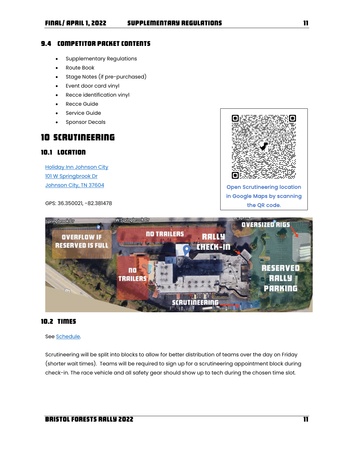### 9.4 Competitor Packet Contents

- Supplementary Regulations
- Route Book
- Stage Notes (if pre-purchased)
- Event door card vinyl
- Recce identification vinyl
- Recce Guide
- Service Guide
- Sponsor Decals

# <span id="page-10-0"></span>10 Scrutineering

# 10.1 Location

[Holiday Inn Johnson City](https://www.google.com/maps/place/Holiday+Inn+Johnson+City,+an+IHG+Hotel/@36.3500932,-82.3831951,17.42z/data=!4m10!3m9!1s0x885a7d4f29843527:0xa1692c22f36d6b67!5m4!1s2022-05-12!2i3!4m1!1i2!8m2!3d36.3496769!4d-82.3820048)  [101 W Springbrook Dr](https://www.google.com/maps/place/Holiday+Inn+Johnson+City,+an+IHG+Hotel/@36.3500932,-82.3831951,17.42z/data=!4m10!3m9!1s0x885a7d4f29843527:0xa1692c22f36d6b67!5m4!1s2022-05-12!2i3!4m1!1i2!8m2!3d36.3496769!4d-82.3820048)  [Johnson City, TN 37604](https://www.google.com/maps/place/Holiday+Inn+Johnson+City,+an+IHG+Hotel/@36.3500932,-82.3831951,17.42z/data=!4m10!3m9!1s0x885a7d4f29843527:0xa1692c22f36d6b67!5m4!1s2022-05-12!2i3!4m1!1i2!8m2!3d36.3496769!4d-82.3820048)

GPS: 36.350021, -82.381478





# 10.2 Times

See [Schedule.](#page-6-0) 

Scrutineering will be split into blocks to allow for better distribution of teams over the day on Friday (shorter wait times). Teams will be required to sign up for a scrutineering appointment block during check-in. The race vehicle and all safety gear should show up to tech during the chosen time slot.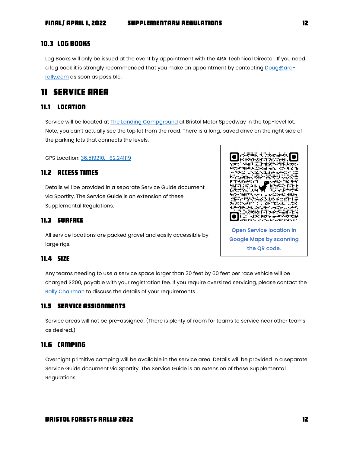### 10.3 Log Books

Log Books will only be issued at the event by appointment with the ARA Technical Director. If you need a log book it is strongly recommended that you make an appointment by contactin[g Doug@ara](mailto:Doug@ara-rally.com)[rally.com](mailto:Doug@ara-rally.com) as soon as possible.

# <span id="page-11-0"></span>11 Service Area

# 11.1 Location

Service will be located at **The Landing Campground** at Bristol Motor Speedway in the top-level lot. Note, you can't actually see the top lot from the road. There is a long, paved drive on the right side of the parking lots that connects the levels.

GPS Location[: 36.519210, -82.241119](https://www.google.com/maps/place/36%C2%B031)

### 11.2 Access Times

Details will be provided in a separate Service Guide document via Sportity. The Service Guide is an extension of these Supplemental Regulations.

# 11.3 surface

All service locations are packed gravel and easily accessible by large rigs.



### 11.4 size

Any teams needing to use a service space larger than 30 feet by 60 feet per race vehicle will be charged \$200, payable with your registration fee. If you require oversized servicing, please contact the [Rally Chairman](#page-4-2) to discuss the details of your requirements.

# 11.5 Service assignments

Service areas will not be pre-assigned. (There is plenty of room for teams to service near other teams as desired.)

### 11.6 Camping

Overnight primitive camping will be available in the service area. Details will be provided in a separate Service Guide document via Sportity. The Service Guide is an extension of these Supplemental Regulations.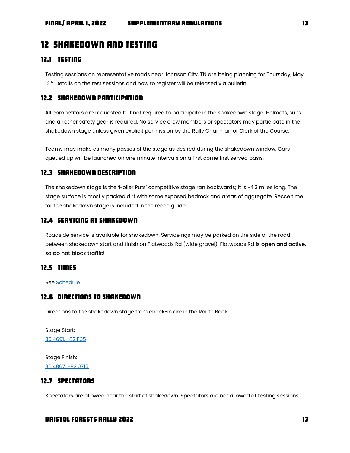# <span id="page-12-0"></span>12 Shakedown and Testing

### 12.1 Testing

Testing sessions on representative roads near Johnson City, TN are being planning for Thursday, May 12<sup>th</sup>. Details on the test sessions and how to register will be released via bulletin.

# 12.2 Shakedown Participation

All competitors are requested but not required to participate in the shakedown stage. Helmets, suits and all other safety gear is required. No service crew members or spectators may participate in the shakedown stage unless given explicit permission by the Rally Chairman or Clerk of the Course.

Teams may make as many passes of the stage as desired during the shakedown window. Cars queued up will be launched on one minute intervals on a first come first served basis.

### 12.3 Shakedown Description

The shakedown stage is the 'Holler Puts' competitive stage ran backwards; it is ~4.3 miles long. The stage surface is mostly packed dirt with some exposed bedrock and areas of aggregate. Recce time for the shakedown stage is included in the recce guide.

### 12.4 Servicing at shakedown

Roadside service is available for shakedown. Service rigs may be parked on the side of the road between shakedown start and finish on Flatwoods Rd (wide gravel). Flatwoods Rd is open and active, so do not block traffic!

### 12.5 Times

See [Schedule.](#page-6-0) 

# 12.6 Directions to shakedown

Directions to the shakedown stage from check-in are in the Route Book.

Stage Start: [36.4691, -82.1135](https://www.google.com/maps/place/36%C2%B028)

Stage Finish: [36.4867, -82.0715](https://www.google.com/maps/place/36%C2%B029)

# 12.7 Spectators

Spectators are allowed near the start of shakedown. Spectators are not allowed at testing sessions.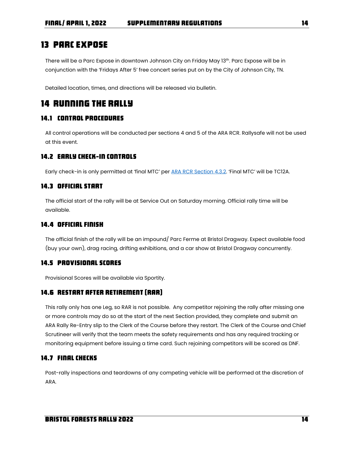# <span id="page-13-0"></span>13 Parc Expose

There will be a Parc Expose in downtown Johnson City on Friday May 13th. Parc Expose will be in conjunction with the 'Fridays After 5' free concert series put on by the City of Johnson City, TN.

Detailed location, times, and directions will be released via bulletin.

# <span id="page-13-1"></span>14 Running the rally

# 14.1 Control procedures

All control operations will be conducted per sections 4 and 5 of the ARA RCR. Rallysafe will not be used at this event.

### 14.2 Early Check-in Controls

Early check-in is only permitted at 'final MTC' per **ARA RCR Section 4.3.2.** 'Final MTC' will be TC12A.

# 14.3 Official Start

The official start of the rally will be at Service Out on Saturday morning. Official rally time will be available.

# 14.4 Official Finish

The official finish of the rally will be an impound/ Parc Ferme at Bristol Dragway. Expect available food (buy your own), drag racing, drifting exhibitions, and a car show at Bristol Dragway concurrently.

### 14.5 Provisional Scores

Provisional Scores will be available via Sportity.

# 14.6 Restart After Retirement (RAR)

This rally only has one Leg, so RAR is not possible. Any competitor rejoining the rally after missing one or more controls may do so at the start of the next Section provided, they complete and submit an ARA Rally Re-Entry slip to the Clerk of the Course before they restart. The Clerk of the Course and Chief Scrutineer will verify that the team meets the safety requirements and has any required tracking or monitoring equipment before issuing a time card. Such rejoining competitors will be scored as DNF.

# 14.7 Final Checks

Post-rally inspections and teardowns of any competing vehicle will be performed at the discretion of ARA.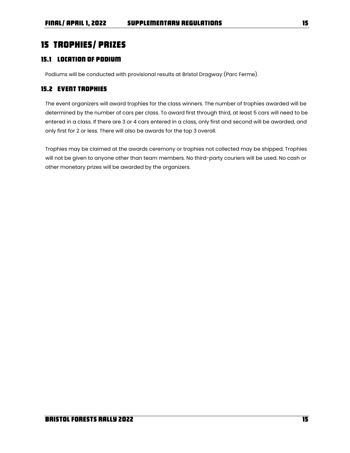# <span id="page-14-0"></span>15 Trophies/ Prizes

# 15.1 Location of podium

Podiums will be conducted with provisional results at Bristol Dragway (Parc Ferme).

# 15.2 Event trophies

The event organizers will award trophies for the class winners. The number of trophies awarded will be determined by the number of cars per class. To award first through third, at least 5 cars will need to be entered in a class. If there are 3 or 4 cars entered in a class, only first and second will be awarded, and only first for 2 or less. There will also be awards for the top 3 overall.

Trophies may be claimed at the awards ceremony or trophies not collected may be shipped. Trophies will not be given to anyone other than team members. No third-party couriers will be used. No cash or other monetary prizes will be awarded by the organizers.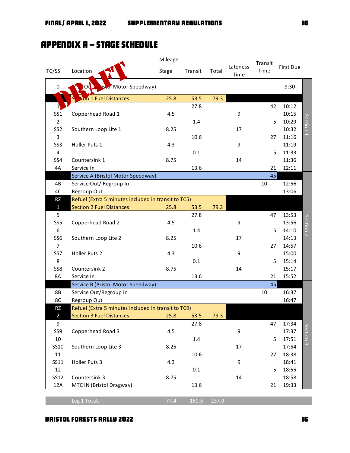# Appendix A – Stage Schedule

|                 |                                                     | Mileage |         |       |                  | Transit |                  |                      |
|-----------------|-----------------------------------------------------|---------|---------|-------|------------------|---------|------------------|----------------------|
| TC/SS           | Location                                            | Stage   | Transit | Total | Lateness<br>Time | Time    | <b>First Due</b> |                      |
| 0               | is.of Motor Speedway)                               |         |         |       |                  |         | 9:30             |                      |
|                 | ion 1 Fuel Distances:                               | 25.8    | 53.5    | 79.3  |                  |         |                  |                      |
| 1)              |                                                     |         | 27.8    |       |                  | 42      | 10:12            |                      |
| SS <sub>1</sub> | Copperhead Road 1                                   | 4.5     |         |       | 9                |         | 10:15            |                      |
| $\overline{2}$  |                                                     |         | 1.4     |       |                  | 5       | 10:29            |                      |
| SS <sub>2</sub> | Southern Loop Lite 1                                | 8.25    |         |       | 17               |         | 10:32            | Section <sub>1</sub> |
| 3               |                                                     |         | 10.6    |       |                  | 27      | 11:16            |                      |
| SS <sub>3</sub> | Holler Puts 1                                       | 4.3     |         |       | 9                |         | 11:19            |                      |
| $\overline{4}$  |                                                     |         | 0.1     |       |                  | 5       | 11:33            |                      |
| SS4             | Countersink 1                                       | 8.75    |         |       | 14               |         | 11:36            |                      |
| 4A              | Service In                                          |         | 13.6    |       |                  | 21      | 12:11            |                      |
|                 | Service A (Bristol Motor Speedway)                  |         |         |       |                  | 45      |                  |                      |
| 4B              | Service Out/ Regroup In                             |         |         |       |                  | 10      | 12:56            |                      |
| 4C              | Regroup Out                                         |         |         |       |                  |         | 13:06            |                      |
| RZ              | Refuel (Extra 5 minutes included in transit to TC5) |         |         |       |                  |         |                  |                      |
| $\mathbf{1}$    | <b>Section 2 Fuel Distances:</b>                    | 25.8    | 53.5    | 79.3  |                  |         |                  |                      |
| 5               |                                                     |         | 27.8    |       |                  | 47      | 13:53            |                      |
| SS5             | Copperhead Road 2                                   | 4.5     |         |       | 9                |         | 13:56            |                      |
| 6               |                                                     |         | 1.4     |       |                  | 5       | 14:10            | Section <sub>2</sub> |
| SS6             | Southern Loop Lite 2                                | 8.25    |         |       | 17               |         | 14:13            |                      |
| $\overline{7}$  |                                                     |         | 10.6    |       |                  | 27      | 14:57            |                      |
| SS7             | Holler Puts 2                                       | 4.3     |         |       | 9                |         | 15:00            |                      |
| 8               |                                                     |         | 0.1     |       |                  | 5       | 15:14            |                      |
| SS8             | Countersink 2                                       | 8.75    |         |       | 14               |         | 15:17            |                      |
| 8A              | Service In                                          |         | 13.6    |       |                  | 21      | 15:52            |                      |
|                 | Service B (Bristol Motor Speedway)                  |         |         |       |                  | 45      |                  |                      |
| 8B              | Service Out/Regroup In                              |         |         |       |                  | 10      | 16:37            |                      |
| 8C              | Regroup Out                                         |         |         |       |                  |         | 16:47            |                      |
| RZ              | Refuel (Extra 5 minutes included in transit to TC9) |         |         |       |                  |         |                  |                      |
| $\overline{2}$  | <b>Section 3 Fuel Distances:</b>                    | 25.8    | 53.5    | 79.3  |                  |         |                  |                      |
| 9               |                                                     |         | 27.8    |       |                  | 47      | 17:34            |                      |
| SS9             | Copperhead Road 3                                   | 4.5     |         |       | 9                |         | 17:37            | Section 3            |
| $10\,$          |                                                     |         | 1.4     |       |                  | 5       | 17:51            |                      |
| SS10            | Southern Loop Lite 3                                | 8.25    |         |       | 17               |         | 17:54            |                      |
| 11              |                                                     |         | 10.6    |       |                  | 27      | 18:38            |                      |
| SS11            | Holler Puts 3                                       | 4.3     |         |       | 9                |         | 18:41            |                      |
| 12              |                                                     |         | 0.1     |       |                  | 5       | 18:55            |                      |
| <b>SS12</b>     | Countersink 3                                       | 8.75    |         |       | 14               |         | 18:58            |                      |
| 12A             | MTC IN (Bristol Dragway)                            |         | 13.6    |       |                  | 21      | 19:33            |                      |
|                 |                                                     |         |         |       |                  |         |                  |                      |
|                 | Leg 1 Totals                                        | 77.4    | 160.5   | 237.9 |                  |         |                  |                      |